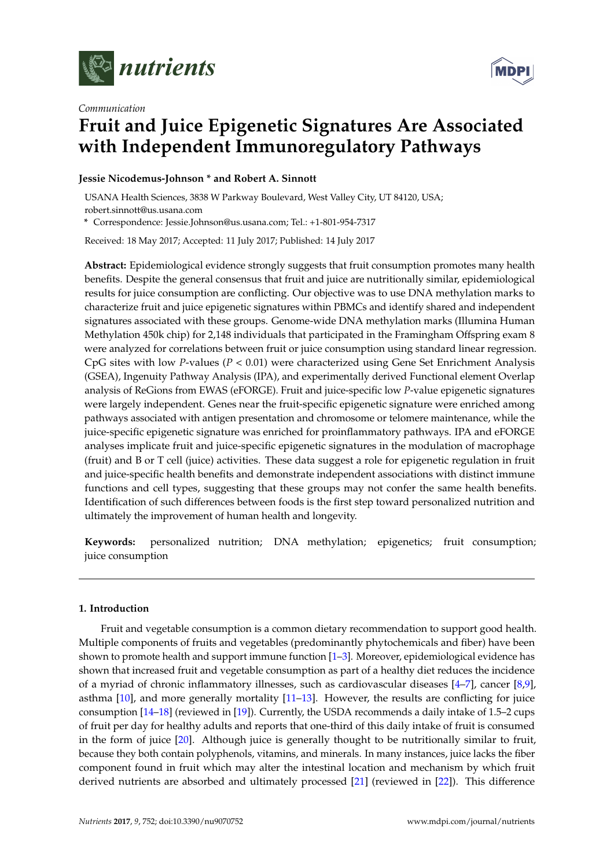

*Communication*



# **Fruit and Juice Epigenetic Signatures Are Associated with Independent Immunoregulatory Pathways**

## **Jessie Nicodemus-Johnson \* and Robert A. Sinnott**

USANA Health Sciences, 3838 W Parkway Boulevard, West Valley City, UT 84120, USA; robert.sinnott@us.usana.com

**\*** Correspondence: Jessie.Johnson@us.usana.com; Tel.: +1-801-954-7317

Received: 18 May 2017; Accepted: 11 July 2017; Published: 14 July 2017

**Abstract:** Epidemiological evidence strongly suggests that fruit consumption promotes many health benefits. Despite the general consensus that fruit and juice are nutritionally similar, epidemiological results for juice consumption are conflicting. Our objective was to use DNA methylation marks to characterize fruit and juice epigenetic signatures within PBMCs and identify shared and independent signatures associated with these groups. Genome-wide DNA methylation marks (Illumina Human Methylation 450k chip) for 2,148 individuals that participated in the Framingham Offspring exam 8 were analyzed for correlations between fruit or juice consumption using standard linear regression. CpG sites with low *P*-values (*P <* 0.01) were characterized using Gene Set Enrichment Analysis (GSEA), Ingenuity Pathway Analysis (IPA), and experimentally derived Functional element Overlap analysis of ReGions from EWAS (eFORGE). Fruit and juice-specific low *P*-value epigenetic signatures were largely independent. Genes near the fruit-specific epigenetic signature were enriched among pathways associated with antigen presentation and chromosome or telomere maintenance, while the juice-specific epigenetic signature was enriched for proinflammatory pathways. IPA and eFORGE analyses implicate fruit and juice-specific epigenetic signatures in the modulation of macrophage (fruit) and B or T cell (juice) activities. These data suggest a role for epigenetic regulation in fruit and juice-specific health benefits and demonstrate independent associations with distinct immune functions and cell types, suggesting that these groups may not confer the same health benefits. Identification of such differences between foods is the first step toward personalized nutrition and ultimately the improvement of human health and longevity.

**Keywords:** personalized nutrition; DNA methylation; epigenetics; fruit consumption; juice consumption

### **1. Introduction**

Fruit and vegetable consumption is a common dietary recommendation to support good health. Multiple components of fruits and vegetables (predominantly phytochemicals and fiber) have been shown to promote health and support immune function [\[1–](#page-7-0)[3\]](#page-7-1). Moreover, epidemiological evidence has shown that increased fruit and vegetable consumption as part of a healthy diet reduces the incidence of a myriad of chronic inflammatory illnesses, such as cardiovascular diseases [\[4](#page-7-2)[–7\]](#page-8-0), cancer [\[8,](#page-8-1)[9\]](#page-8-2), asthma [\[10\]](#page-8-3), and more generally mortality [\[11](#page-8-4)[–13\]](#page-8-5). However, the results are conflicting for juice consumption [\[14](#page-8-6)[–18\]](#page-8-7) (reviewed in [\[19\]](#page-8-8)). Currently, the USDA recommends a daily intake of 1.5–2 cups of fruit per day for healthy adults and reports that one-third of this daily intake of fruit is consumed in the form of juice [\[20\]](#page-8-9). Although juice is generally thought to be nutritionally similar to fruit, because they both contain polyphenols, vitamins, and minerals. In many instances, juice lacks the fiber component found in fruit which may alter the intestinal location and mechanism by which fruit derived nutrients are absorbed and ultimately processed [\[21\]](#page-8-10) (reviewed in [\[22\]](#page-8-11)). This difference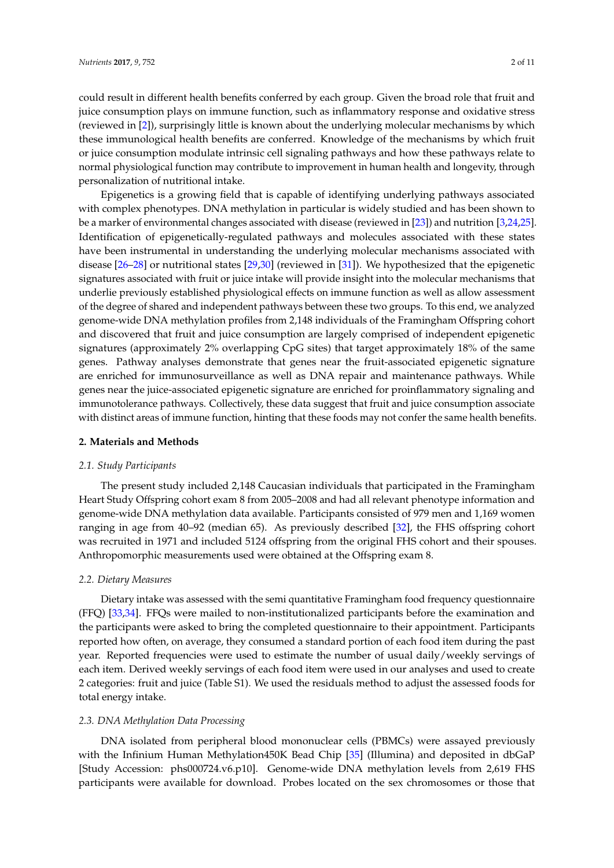could result in different health benefits conferred by each group. Given the broad role that fruit and juice consumption plays on immune function, such as inflammatory response and oxidative stress (reviewed in [\[2\]](#page-7-3)), surprisingly little is known about the underlying molecular mechanisms by which these immunological health benefits are conferred. Knowledge of the mechanisms by which fruit or juice consumption modulate intrinsic cell signaling pathways and how these pathways relate to normal physiological function may contribute to improvement in human health and longevity, through personalization of nutritional intake.

Epigenetics is a growing field that is capable of identifying underlying pathways associated with complex phenotypes. DNA methylation in particular is widely studied and has been shown to be a marker of environmental changes associated with disease (reviewed in [\[23\]](#page-8-12)) and nutrition [\[3](#page-7-1)[,24](#page-8-13)[,25\]](#page-8-14). Identification of epigenetically-regulated pathways and molecules associated with these states have been instrumental in understanding the underlying molecular mechanisms associated with disease [\[26](#page-9-0)[–28\]](#page-9-1) or nutritional states [\[29](#page-9-2)[,30\]](#page-9-3) (reviewed in [\[31\]](#page-9-4)). We hypothesized that the epigenetic signatures associated with fruit or juice intake will provide insight into the molecular mechanisms that underlie previously established physiological effects on immune function as well as allow assessment of the degree of shared and independent pathways between these two groups. To this end, we analyzed genome-wide DNA methylation profiles from 2,148 individuals of the Framingham Offspring cohort and discovered that fruit and juice consumption are largely comprised of independent epigenetic signatures (approximately 2% overlapping CpG sites) that target approximately 18% of the same genes. Pathway analyses demonstrate that genes near the fruit-associated epigenetic signature are enriched for immunosurveillance as well as DNA repair and maintenance pathways. While genes near the juice-associated epigenetic signature are enriched for proinflammatory signaling and immunotolerance pathways. Collectively, these data suggest that fruit and juice consumption associate with distinct areas of immune function, hinting that these foods may not confer the same health benefits.

#### **2. Materials and Methods**

#### *2.1. Study Participants*

The present study included 2,148 Caucasian individuals that participated in the Framingham Heart Study Offspring cohort exam 8 from 2005–2008 and had all relevant phenotype information and genome-wide DNA methylation data available. Participants consisted of 979 men and 1,169 women ranging in age from 40–92 (median 65). As previously described [\[32\]](#page-9-5), the FHS offspring cohort was recruited in 1971 and included 5124 offspring from the original FHS cohort and their spouses. Anthropomorphic measurements used were obtained at the Offspring exam 8.

#### *2.2. Dietary Measures*

Dietary intake was assessed with the semi quantitative Framingham food frequency questionnaire (FFQ) [\[33,](#page-9-6)[34\]](#page-9-7). FFQs were mailed to non-institutionalized participants before the examination and the participants were asked to bring the completed questionnaire to their appointment. Participants reported how often, on average, they consumed a standard portion of each food item during the past year. Reported frequencies were used to estimate the number of usual daily/weekly servings of each item. Derived weekly servings of each food item were used in our analyses and used to create 2 categories: fruit and juice (Table S1). We used the residuals method to adjust the assessed foods for total energy intake.

#### *2.3. DNA Methylation Data Processing*

DNA isolated from peripheral blood mononuclear cells (PBMCs) were assayed previously with the Infinium Human Methylation450K Bead Chip [\[35\]](#page-9-8) (Illumina) and deposited in dbGaP [Study Accession: phs000724.v6.p10]. Genome-wide DNA methylation levels from 2,619 FHS participants were available for download. Probes located on the sex chromosomes or those that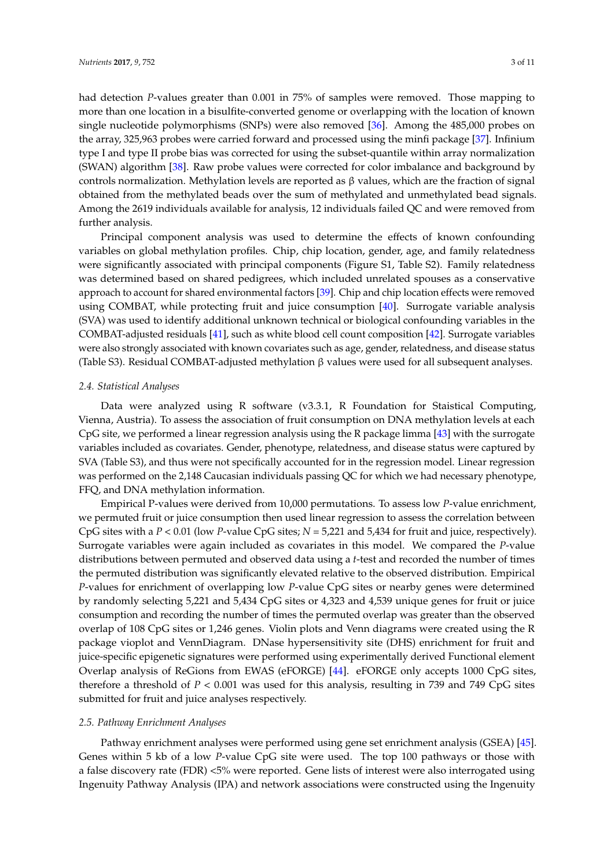further analysis.

had detection *P*-values greater than 0.001 in 75% of samples were removed. Those mapping to more than one location in a bisulfite-converted genome or overlapping with the location of known single nucleotide polymorphisms (SNPs) were also removed [\[36\]](#page-9-9). Among the 485,000 probes on the array, 325,963 probes were carried forward and processed using the minfi package [\[37\]](#page-9-10). Infinium type I and type II probe bias was corrected for using the subset-quantile within array normalization (SWAN) algorithm [\[38\]](#page-9-11). Raw probe values were corrected for color imbalance and background by controls normalization. Methylation levels are reported as β values, which are the fraction of signal obtained from the methylated beads over the sum of methylated and unmethylated bead signals. Among the 2619 individuals available for analysis, 12 individuals failed QC and were removed from

Principal component analysis was used to determine the effects of known confounding variables on global methylation profiles. Chip, chip location, gender, age, and family relatedness were significantly associated with principal components (Figure S1, Table S2). Family relatedness was determined based on shared pedigrees, which included unrelated spouses as a conservative approach to account for shared environmental factors [\[39\]](#page-9-12). Chip and chip location effects were removed using COMBAT, while protecting fruit and juice consumption [\[40\]](#page-9-13). Surrogate variable analysis (SVA) was used to identify additional unknown technical or biological confounding variables in the COMBAT-adjusted residuals [\[41\]](#page-9-14), such as white blood cell count composition [\[42\]](#page-9-15). Surrogate variables were also strongly associated with known covariates such as age, gender, relatedness, and disease status (Table S3). Residual COMBAT-adjusted methylation β values were used for all subsequent analyses.

#### *2.4. Statistical Analyses*

Data were analyzed using R software (v3.3.1, R Foundation for Staistical Computing, Vienna, Austria). To assess the association of fruit consumption on DNA methylation levels at each CpG site, we performed a linear regression analysis using the R package limma [\[43\]](#page-9-16) with the surrogate variables included as covariates. Gender, phenotype, relatedness, and disease status were captured by SVA (Table S3), and thus were not specifically accounted for in the regression model. Linear regression was performed on the 2,148 Caucasian individuals passing QC for which we had necessary phenotype, FFQ, and DNA methylation information.

Empirical P-values were derived from 10,000 permutations. To assess low *P*-value enrichment, we permuted fruit or juice consumption then used linear regression to assess the correlation between CpG sites with a *P <* 0.01 (low *P*-value CpG sites; *N =* 5,221 and 5,434 for fruit and juice, respectively). Surrogate variables were again included as covariates in this model. We compared the *P*-value distributions between permuted and observed data using a *t*-test and recorded the number of times the permuted distribution was significantly elevated relative to the observed distribution. Empirical *P*-values for enrichment of overlapping low *P*-value CpG sites or nearby genes were determined by randomly selecting 5,221 and 5,434 CpG sites or 4,323 and 4,539 unique genes for fruit or juice consumption and recording the number of times the permuted overlap was greater than the observed overlap of 108 CpG sites or 1,246 genes. Violin plots and Venn diagrams were created using the R package vioplot and VennDiagram. DNase hypersensitivity site (DHS) enrichment for fruit and juice-specific epigenetic signatures were performed using experimentally derived Functional element Overlap analysis of ReGions from EWAS (eFORGE) [\[44\]](#page-9-17). eFORGE only accepts 1000 CpG sites, therefore a threshold of *P <* 0.001 was used for this analysis, resulting in 739 and 749 CpG sites submitted for fruit and juice analyses respectively.

#### *2.5. Pathway Enrichment Analyses*

Pathway enrichment analyses were performed using gene set enrichment analysis (GSEA) [\[45\]](#page-10-0). Genes within 5 kb of a low *P*-value CpG site were used. The top 100 pathways or those with a false discovery rate (FDR) <5% were reported. Gene lists of interest were also interrogated using Ingenuity Pathway Analysis (IPA) and network associations were constructed using the Ingenuity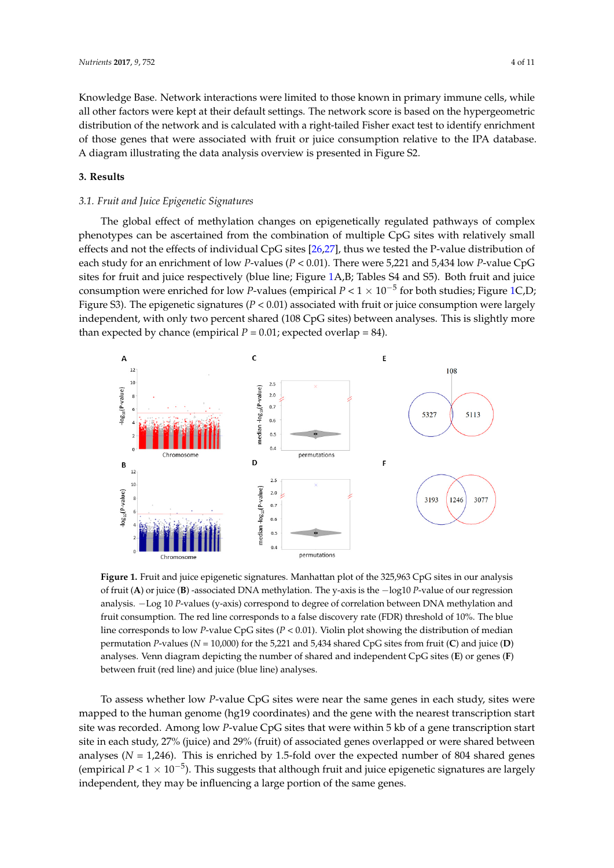Knowledge Base. Network interactions were limited to those known in primary immune cells*,* while all other factors were kept at their default settings. The network score is based on the hypergeometric distribution of the network and is calculated with a right-tailed Fisher exact test to identify enrichment of those genes that were associated with fruit or juice consumption relative to the IPA database. A diagram illustrating the data analysis overview is presented in Figure S2. factors were kept at the network were kept at the network score is based on the network score is based on the h

#### **3. Results** database. A diagram illustrating the data analysis overview is presented in Figure S2.

## *3.1. Fruit and Juice Epigenetic Signatures* **3. Results**

The global effect of methylation changes on epigenetically regulated pathways of complex phenotypes can be ascertained from the combination of multiple CpG sites with relatively small effects and not the effects of individual CpG sites [26,27], thus we tested the P-value distributio[n o](#page-9-18)f each study for an enrichment of low *P*-values (*P* < 0.01). There were 5,221 and 5,434 low *P*-value CpG sites for fruit and juice respectively (blue line; Figure [1A](#page-3-0),B; Tables S4 and S5). Both fruit and juice consumption were enriched for low *P*-values (empirical  $P < 1 \times 10^{-5}$  for both studies; Figure [1C](#page-3-0),D; Figure S3). The epigenetic signatures (*P* < 0.01) associated with fruit or juice consumption were largely independent, with only two percent shared (108 CpG sites) between analyses. This is slightly more independent, with only two percent shared (108 CpG sites) between analyses. This is slightly more than expected by chance (empirical *P =* 0.01; expected overlap = 84). than expected by chance (empirical *P =* 0.01; expected overlap = 84). Figure S3). The epigenetic signatures (*P <* 0.01) associated with fruit or juice consumption were largely

<span id="page-3-0"></span>

of fruit (A) or juice (B) -associated DNA methylation. The y-axis is the  $-\log 10 P$ -value of our regression analysis. -Log 10 P-values (y-axis) correspond to degree of correlation between DNA methylation and fruit consumption. The red line corresponds to a false discovery rate (FDR) threshold of 10%. The blue line corresponds to low *P*-value CpG sites (*P <* 0.01). Violin plot showing the distribution of median permutation P-values ( $N = 10,000$ ) for the 5,221 and 5,434 shared CpG sites from fruit (C) and juice (D) analyses. Venn diagram depicting the number of shared and independent  $CpG$  sites (E) or genes (F) between fruit (red line) and juice (blue line) analyses. **Figure 1.** Fruit and juice epigenetic signatures. Manhattan plot of the 325,963 CpG sites in our analysis

To assess whether low *P*-value CpG sites were near the same genes in each study, sites were To assess whether low *P*-value CpG sites were near the same genes in each study, sites were mapped to the human genome (hg19 coordinates) and the gene with the nearest transcription start mapped to the human genome (hg19 coordinates) and the gene with the nearest transcription start site was recorded. Among low *P*-value CpG sites that were within 5 kb of a gene transcription start site was recorded. Among low *P*-value CpG sites that were within 5 kb of a gene transcription start site in each study, 27% (juice) and 29% (fruit) of associated genes overlapped or were shared between site in each study, 27% (juice) and 29% (fruit) of associated genes overlapped or were shared between analyses (*N =* 1,246). This is enriched by 1.5-fold over the expected number of 804 shared genes analyses (*N =* 1,246). This is enriched by 1.5-fold over the expected number of 804 shared genes (empirical *P <* 1 × 10−<sup>5</sup> ). This suggests that although fruit and juice epigenetic signatures are largely independent, they may be influencing a large portion of the same genes.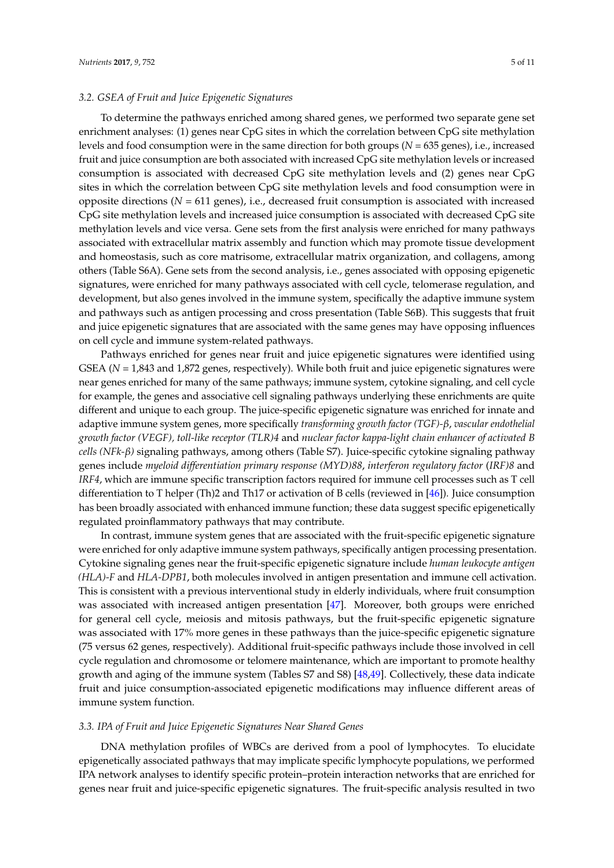#### *3.2. GSEA of Fruit and Juice Epigenetic Signatures*

To determine the pathways enriched among shared genes, we performed two separate gene set enrichment analyses: (1) genes near CpG sites in which the correlation between CpG site methylation levels and food consumption were in the same direction for both groups (*N =* 635 genes), i.e., increased fruit and juice consumption are both associated with increased CpG site methylation levels or increased consumption is associated with decreased CpG site methylation levels and (2) genes near CpG sites in which the correlation between CpG site methylation levels and food consumption were in opposite directions (*N =* 611 genes), i.e., decreased fruit consumption is associated with increased CpG site methylation levels and increased juice consumption is associated with decreased CpG site methylation levels and vice versa. Gene sets from the first analysis were enriched for many pathways associated with extracellular matrix assembly and function which may promote tissue development and homeostasis, such as core matrisome, extracellular matrix organization, and collagens, among others (Table S6A). Gene sets from the second analysis, i.e., genes associated with opposing epigenetic signatures, were enriched for many pathways associated with cell cycle, telomerase regulation, and development, but also genes involved in the immune system, specifically the adaptive immune system and pathways such as antigen processing and cross presentation (Table S6B). This suggests that fruit and juice epigenetic signatures that are associated with the same genes may have opposing influences on cell cycle and immune system-related pathways.

Pathways enriched for genes near fruit and juice epigenetic signatures were identified using GSEA ( $N = 1,843$  and 1,872 genes, respectively). While both fruit and juice epigenetic signatures were near genes enriched for many of the same pathways; immune system, cytokine signaling, and cell cycle for example, the genes and associative cell signaling pathways underlying these enrichments are quite different and unique to each group. The juice-specific epigenetic signature was enriched for innate and adaptive immune system genes, more specifically *transforming growth factor (TGF)-β*, *vascular endothelial growth factor (VEGF), toll-like receptor (TLR)4* and *nuclear factor kappa-light chain enhancer of activated B cells (NFk-β)* signaling pathways, among others (Table S7). Juice-specific cytokine signaling pathway genes include *myeloid differentiation primary response (MYD)88*, *interferon regulatory factor* (*IRF)8* and *IRF4*, which are immune specific transcription factors required for immune cell processes such as T cell differentiation to T helper (Th)2 and Th17 or activation of B cells (reviewed in [\[46\]](#page-10-1)). Juice consumption has been broadly associated with enhanced immune function; these data suggest specific epigenetically regulated proinflammatory pathways that may contribute.

In contrast, immune system genes that are associated with the fruit-specific epigenetic signature were enriched for only adaptive immune system pathways, specifically antigen processing presentation. Cytokine signaling genes near the fruit-specific epigenetic signature include *human leukocyte antigen (HLA)-F* and *HLA-DPB1*, both molecules involved in antigen presentation and immune cell activation. This is consistent with a previous interventional study in elderly individuals, where fruit consumption was associated with increased antigen presentation [\[47\]](#page-10-2). Moreover, both groups were enriched for general cell cycle, meiosis and mitosis pathways, but the fruit-specific epigenetic signature was associated with 17% more genes in these pathways than the juice-specific epigenetic signature (75 versus 62 genes, respectively). Additional fruit-specific pathways include those involved in cell cycle regulation and chromosome or telomere maintenance, which are important to promote healthy growth and aging of the immune system (Tables S7 and S8) [\[48,](#page-10-3)[49\]](#page-10-4). Collectively, these data indicate fruit and juice consumption-associated epigenetic modifications may influence different areas of immune system function.

#### *3.3. IPA of Fruit and Juice Epigenetic Signatures Near Shared Genes*

DNA methylation profiles of WBCs are derived from a pool of lymphocytes. To elucidate epigenetically associated pathways that may implicate specific lymphocyte populations, we performed IPA network analyses to identify specific protein–protein interaction networks that are enriched for genes near fruit and juice-specific epigenetic signatures. The fruit-specific analysis resulted in two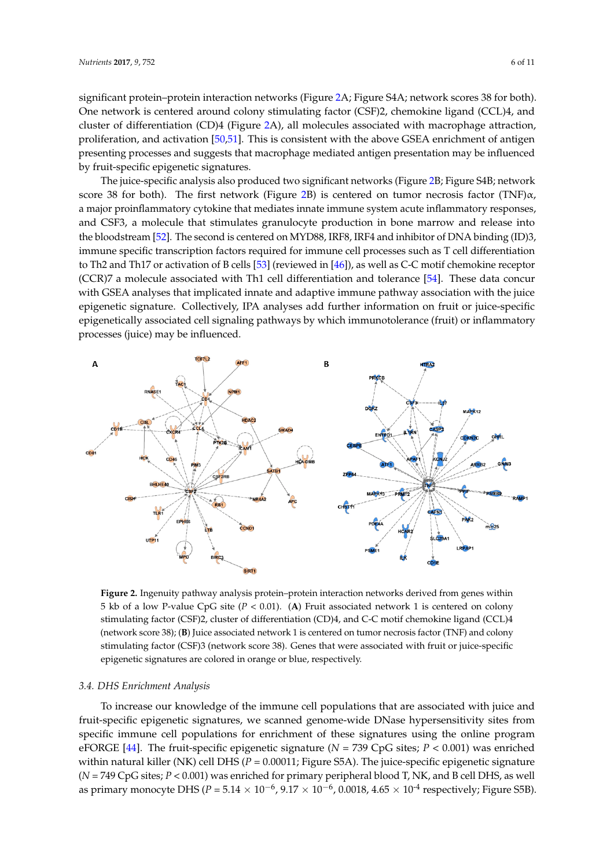significant protein–protein interaction [ne](#page-5-0)tworks (Figure 2A; Figure S4A; network scores 38 for both). One network is centered around colony stimulating factor (CSF)2, chemokine ligand (CCL)4, and cluster of differe[ntia](#page-5-0)tion (CD)4 (Figure 2A), all molecules associated with macrophage attraction, proliferation, and activation [\[50](#page-10-5)[,51\]](#page-10-6). This is consistent with the above GSEA enrichment of antigen presenting processes and suggests that macrophage mediated antigen presentation may be influenced by fruit-specific epigenetic signatures.

The juice-specific analysis also produced two significant networks (Figure 2B; Figure S4B; network The juice-specific analysis also produced two significant networks ([Fi](#page-5-0)gure 2B; Figure S4B; score 38 for both). The first network (Fi[gur](#page-5-0)e 2B) is centered on tumor necrosis factor (TNF) $\alpha$ , a major proinflammatory cytokine that mediates innate immune system acute inflammatory responses, a major proinflammatory cytokine that mediates innate immune system acute inflammatory and CSF3, a molecule that stimulates granulocyte production in bone marrow and release into and CSF3, a molecule that stimulates granulocyte production in bone marrow and release into<br>the bloodst[rea](#page-10-7)m [52]. The second is centered on MYD88, IRF8, IRF4 and inhibitor of DNA binding (ID)3, immune specific transcription factors required for immune cell processes such as T cell differentiation immune specific transcription factors required for immune cell processes such as T cell differentiation<br>to Th2 and Th17 or act[ivat](#page-10-8)ion of B cells [\[53](#page-10-1)] (reviewed in [46]), as well as C-C motif chemokine receptor (CCR)7 a molecule associated with Th1 cell differentiation and tolerance [\[54\]](#page-10-9). These data concur (CCR)7 a molecule associated with Th1 cell differentiation and tolerance [54]. These data concur<br>with GSEA analyses that implicated innate and adaptive immune pathway association with the juice epigenetic signature. Collectively, IPA analyses add further information on fruit or juice-specific epigenetic signature. Collectively, IPA analyses add further information on fruit or juice-specific<br>epigenetically associated cell signaling pathways by which immunotolerance (fruit) or inflammatory processes (juice) may be influenced.

<span id="page-5-0"></span>

**Figure 2.** Ingenuity pathway analysis protein–protein interaction networks derived from genes within **Figure 2.** Ingenuity pathway analysis protein–protein interaction networks derived from genes within 5 kb of a low P-value CpG site (*P <* 0.01). (**A**) Fruit associated network 1 is centered on colony 5 kb of a low P-value CpG site (*P <* 0.01). (**A**) Fruit associated network 1 is centered on colony stimulating factor (CSF)2, cluster of differentiation (CD)4, and C-C motif chemokine ligand (CCL)4 stimulating factor (CSF)2, cluster of differentiation (CD)4, and C-C motif chemokine ligand (CCL)4 (network score 38); (**B**) Juice associated network 1 is centered on tumor necrosis factor (TNF) and (network score 38); (**B**) Juice associated network 1 is centered on tumor necrosis factor (TNF) and colony stimulating factor (CSF)3 (network score 38). Genes that were associated with fruit or juice-specific epigenetic signatures are colored in orange or blue, respectively.

## *3.4. DHS Enrichment Analysis 3.4. DHS Enrichment Analysis*

To increase our knowledge of the immune cell populations that are associated with juice and To increase our knowledge of the immune cell populations that are associated with juice and fruit-specific epigenetic signatures, we scanned genome-wide DNase hypersensitivity sites from fruit-specific epigenetic signatures, we scanned genome-wide DNase hypersensitivity sites from specific immune cell populations for enrichment of these signatures using the online program specific immune cell populations for enrichment of these signatures using the online program eFORGE [44]. The fruit-specific epigenetic signature (*N =* 739 CpG sites; *P <* 0.001) was enriched eFORGE [\[44\]](#page-9-17). The fruit-specific epigenetic signature (*N =* 739 CpG sites; *P <* 0.001) was enriched within natural killer (NK) cell DHS (*P =* 0.00011; Figure S5A). The juice-specific epigenetic signature within natural killer (NK) cell DHS (*P =* 0.00011; Figure S5A). The juice-specific epigenetic signature ( $N = 749$  CpG sites;  $P < 0.001$ ) was enriched for primary peripheral blood T, NK, and B cell DHS, as well as primary monocyte DHS (*P =* 5.14 × 10−<sup>6</sup> , 9.17 × 10−<sup>6</sup> , 0.0018, 4.65 × 10-4 respectively; Figure S5B).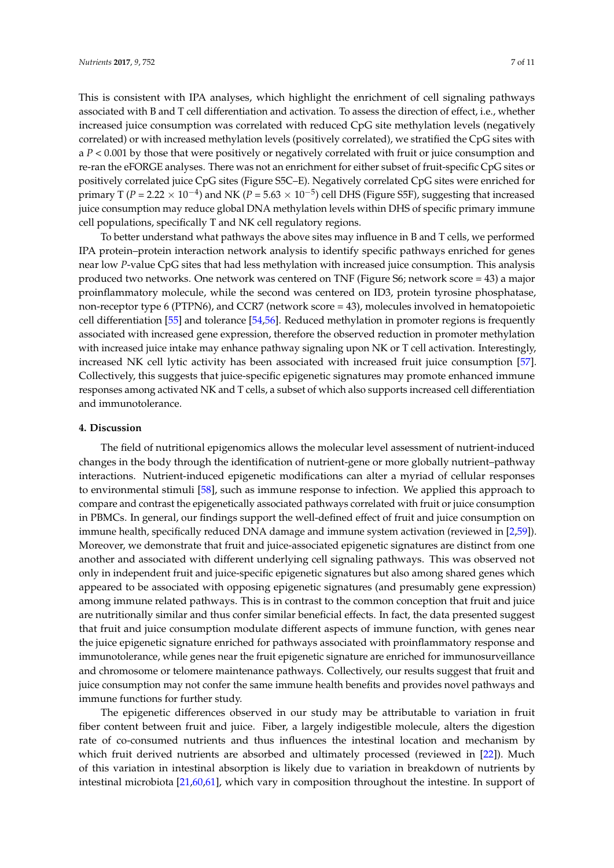This is consistent with IPA analyses, which highlight the enrichment of cell signaling pathways associated with B and T cell differentiation and activation. To assess the direction of effect, i.e., whether increased juice consumption was correlated with reduced CpG site methylation levels (negatively correlated) or with increased methylation levels (positively correlated), we stratified the CpG sites with a *P <* 0.001 by those that were positively or negatively correlated with fruit or juice consumption and re-ran the eFORGE analyses. There was not an enrichment for either subset of fruit-specific CpG sites or positively correlated juice CpG sites (Figure S5C–E). Negatively correlated CpG sites were enriched for primary T (*P* = 2.22 × 10<sup>-4</sup>) and NK (*P* = 5.63 × 10<sup>-5</sup>) cell DHS (Figure S5F), suggesting that increased juice consumption may reduce global DNA methylation levels within DHS of specific primary immune cell populations, specifically T and NK cell regulatory regions.

To better understand what pathways the above sites may influence in B and T cells, we performed IPA protein–protein interaction network analysis to identify specific pathways enriched for genes near low *P*-value CpG sites that had less methylation with increased juice consumption. This analysis produced two networks. One network was centered on TNF (Figure S6; network score = 43) a major proinflammatory molecule, while the second was centered on ID3, protein tyrosine phosphatase, non-receptor type 6 (PTPN6), and CCR7 (network score = 43), molecules involved in hematopoietic cell differentiation [\[55\]](#page-10-10) and tolerance [\[54,](#page-10-9)[56\]](#page-10-11). Reduced methylation in promoter regions is frequently associated with increased gene expression, therefore the observed reduction in promoter methylation with increased juice intake may enhance pathway signaling upon NK or T cell activation. Interestingly, increased NK cell lytic activity has been associated with increased fruit juice consumption [\[57\]](#page-10-12). Collectively, this suggests that juice-specific epigenetic signatures may promote enhanced immune responses among activated NK and T cells, a subset of which also supports increased cell differentiation and immunotolerance.

#### **4. Discussion**

The field of nutritional epigenomics allows the molecular level assessment of nutrient-induced changes in the body through the identification of nutrient-gene or more globally nutrient–pathway interactions. Nutrient-induced epigenetic modifications can alter a myriad of cellular responses to environmental stimuli [\[58\]](#page-10-13), such as immune response to infection. We applied this approach to compare and contrast the epigenetically associated pathways correlated with fruit or juice consumption in PBMCs. In general, our findings support the well-defined effect of fruit and juice consumption on immune health, specifically reduced DNA damage and immune system activation (reviewed in [\[2,](#page-7-3)[59\]](#page-10-14)). Moreover, we demonstrate that fruit and juice-associated epigenetic signatures are distinct from one another and associated with different underlying cell signaling pathways. This was observed not only in independent fruit and juice-specific epigenetic signatures but also among shared genes which appeared to be associated with opposing epigenetic signatures (and presumably gene expression) among immune related pathways. This is in contrast to the common conception that fruit and juice are nutritionally similar and thus confer similar beneficial effects. In fact, the data presented suggest that fruit and juice consumption modulate different aspects of immune function, with genes near the juice epigenetic signature enriched for pathways associated with proinflammatory response and immunotolerance, while genes near the fruit epigenetic signature are enriched for immunosurveillance and chromosome or telomere maintenance pathways. Collectively, our results suggest that fruit and juice consumption may not confer the same immune health benefits and provides novel pathways and immune functions for further study.

The epigenetic differences observed in our study may be attributable to variation in fruit fiber content between fruit and juice. Fiber, a largely indigestible molecule, alters the digestion rate of co-consumed nutrients and thus influences the intestinal location and mechanism by which fruit derived nutrients are absorbed and ultimately processed (reviewed in [\[22\]](#page-8-11)). Much of this variation in intestinal absorption is likely due to variation in breakdown of nutrients by intestinal microbiota [\[21](#page-8-10)[,60](#page-10-15)[,61\]](#page-10-16), which vary in composition throughout the intestine. In support of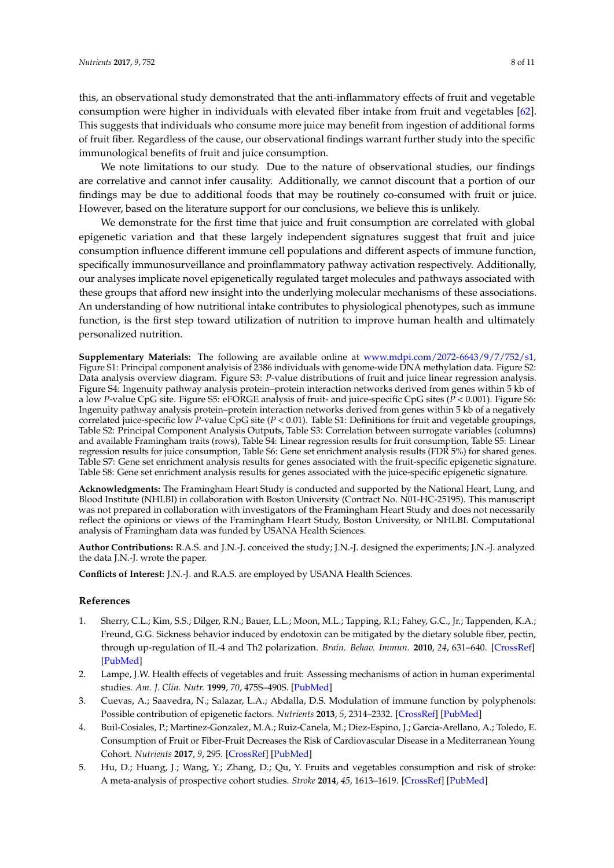this, an observational study demonstrated that the anti-inflammatory effects of fruit and vegetable consumption were higher in individuals with elevated fiber intake from fruit and vegetables [\[62\]](#page-10-17). This suggests that individuals who consume more juice may benefit from ingestion of additional forms of fruit fiber. Regardless of the cause, our observational findings warrant further study into the specific immunological benefits of fruit and juice consumption.

We note limitations to our study. Due to the nature of observational studies, our findings are correlative and cannot infer causality. Additionally, we cannot discount that a portion of our findings may be due to additional foods that may be routinely co-consumed with fruit or juice. However, based on the literature support for our conclusions, we believe this is unlikely.

We demonstrate for the first time that juice and fruit consumption are correlated with global epigenetic variation and that these largely independent signatures suggest that fruit and juice consumption influence different immune cell populations and different aspects of immune function, specifically immunosurveillance and proinflammatory pathway activation respectively. Additionally, our analyses implicate novel epigenetically regulated target molecules and pathways associated with these groups that afford new insight into the underlying molecular mechanisms of these associations. An understanding of how nutritional intake contributes to physiological phenotypes, such as immune function, is the first step toward utilization of nutrition to improve human health and ultimately personalized nutrition.

**Supplementary Materials:** The following are available online at [www.mdpi.com/2072-6643/9/7/752/s1,](www.mdpi.com/2072-6643/9/7/752/s1) Figure S1: Principal component analyisis of 2386 individuals with genome-wide DNA methylation data. Figure S2: Data analysis overview diagram. Figure S3: *P-*value distributions of fruit and juice linear regression analysis. Figure S4: Ingenuity pathway analysis protein–protein interaction networks derived from genes within 5 kb of a low *P*-value CpG site. Figure S5: eFORGE analysis of fruit- and juice-specific CpG sites (*P <* 0.001). Figure S6: Ingenuity pathway analysis protein–protein interaction networks derived from genes within 5 kb of a negatively correlated juice-specific low *P*-value CpG site (*P <* 0.01). Table S1: Definitions for fruit and vegetable groupings, Table S2: Principal Component Analysis Outputs, Table S3: Correlation between surrogate variables (columns) and available Framingham traits (rows), Table S4: Linear regression results for fruit consumption, Table S5: Linear regression results for juice consumption, Table S6: Gene set enrichment analysis results (FDR 5%) for shared genes. Table S7: Gene set enrichment analysis results for genes associated with the fruit-specific epigenetic signature. Table S8: Gene set enrichment analysis results for genes associated with the juice-specific epigenetic signature.

**Acknowledgments:** The Framingham Heart Study is conducted and supported by the National Heart, Lung, and Blood Institute (NHLBI) in collaboration with Boston University (Contract No. N01-HC-25195). This manuscript was not prepared in collaboration with investigators of the Framingham Heart Study and does not necessarily reflect the opinions or views of the Framingham Heart Study, Boston University, or NHLBI. Computational analysis of Framingham data was funded by USANA Health Sciences.

**Author Contributions:** R.A.S. and J.N.-J. conceived the study; J.N.-J. designed the experiments; J.N.-J. analyzed the data J.N.-J. wrote the paper.

**Conflicts of Interest:** J.N.-J. and R.A.S. are employed by USANA Health Sciences.

#### **References**

- <span id="page-7-0"></span>1. Sherry, C.L.; Kim, S.S.; Dilger, R.N.; Bauer, L.L.; Moon, M.L.; Tapping, R.I.; Fahey, G.C., Jr.; Tappenden, K.A.; Freund, G.G. Sickness behavior induced by endotoxin can be mitigated by the dietary soluble fiber, pectin, through up-regulation of IL-4 and Th2 polarization. *Brain. Behav. Immun.* **2010**, *24*, 631–640. [\[CrossRef\]](http://dx.doi.org/10.1016/j.bbi.2010.01.015) [\[PubMed\]](http://www.ncbi.nlm.nih.gov/pubmed/20138982)
- <span id="page-7-3"></span>2. Lampe, J.W. Health effects of vegetables and fruit: Assessing mechanisms of action in human experimental studies. *Am. J. Clin. Nutr.* **1999**, *70*, 475S–490S. [\[PubMed\]](http://www.ncbi.nlm.nih.gov/pubmed/10479220)
- <span id="page-7-1"></span>3. Cuevas, A.; Saavedra, N.; Salazar, L.A.; Abdalla, D.S. Modulation of immune function by polyphenols: Possible contribution of epigenetic factors. *Nutrients* **2013**, *5*, 2314–2332. [\[CrossRef\]](http://dx.doi.org/10.3390/nu5072314) [\[PubMed\]](http://www.ncbi.nlm.nih.gov/pubmed/23812304)
- <span id="page-7-2"></span>4. Buil-Cosiales, P.; Martinez-Gonzalez, M.A.; Ruiz-Canela, M.; Diez-Espino, J.; Garcia-Arellano, A.; Toledo, E. Consumption of Fruit or Fiber-Fruit Decreases the Risk of Cardiovascular Disease in a Mediterranean Young Cohort. *Nutrients* **2017**, *9*, 295. [\[CrossRef\]](http://dx.doi.org/10.3390/nu9030295) [\[PubMed\]](http://www.ncbi.nlm.nih.gov/pubmed/28304346)
- 5. Hu, D.; Huang, J.; Wang, Y.; Zhang, D.; Qu, Y. Fruits and vegetables consumption and risk of stroke: A meta-analysis of prospective cohort studies. *Stroke* **2014**, *45*, 1613–1619. [\[CrossRef\]](http://dx.doi.org/10.1161/STROKEAHA.114.004836) [\[PubMed\]](http://www.ncbi.nlm.nih.gov/pubmed/24811336)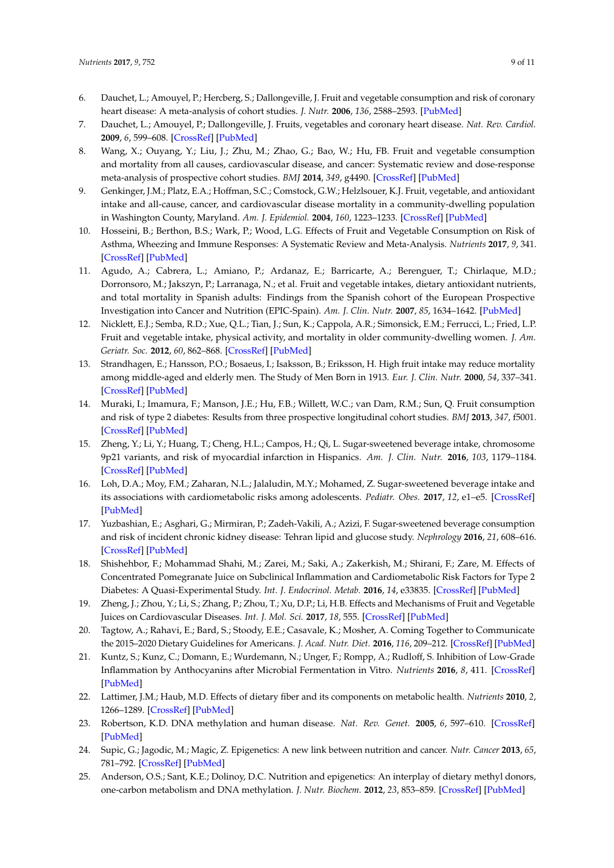- 6. Dauchet, L.; Amouyel, P.; Hercberg, S.; Dallongeville, J. Fruit and vegetable consumption and risk of coronary heart disease: A meta-analysis of cohort studies. *J. Nutr.* **2006**, *136*, 2588–2593. [\[PubMed\]](http://www.ncbi.nlm.nih.gov/pubmed/16988131)
- <span id="page-8-0"></span>7. Dauchet, L.; Amouyel, P.; Dallongeville, J. Fruits, vegetables and coronary heart disease. *Nat. Rev. Cardiol.* **2009**, *6*, 599–608. [\[CrossRef\]](http://dx.doi.org/10.1038/nrcardio.2009.131) [\[PubMed\]](http://www.ncbi.nlm.nih.gov/pubmed/19652655)
- <span id="page-8-1"></span>8. Wang, X.; Ouyang, Y.; Liu, J.; Zhu, M.; Zhao, G.; Bao, W.; Hu, FB. Fruit and vegetable consumption and mortality from all causes, cardiovascular disease, and cancer: Systematic review and dose-response meta-analysis of prospective cohort studies. *BMJ* **2014**, *349*, g4490. [\[CrossRef\]](http://dx.doi.org/10.1136/bmj.g4490) [\[PubMed\]](http://www.ncbi.nlm.nih.gov/pubmed/25073782)
- <span id="page-8-2"></span>9. Genkinger, J.M.; Platz, E.A.; Hoffman, S.C.; Comstock, G.W.; Helzlsouer, K.J. Fruit, vegetable, and antioxidant intake and all-cause, cancer, and cardiovascular disease mortality in a community-dwelling population in Washington County, Maryland. *Am. J. Epidemiol.* **2004**, *160*, 1223–1233. [\[CrossRef\]](http://dx.doi.org/10.1093/aje/kwh339) [\[PubMed\]](http://www.ncbi.nlm.nih.gov/pubmed/15583375)
- <span id="page-8-3"></span>10. Hosseini, B.; Berthon, B.S.; Wark, P.; Wood, L.G. Effects of Fruit and Vegetable Consumption on Risk of Asthma, Wheezing and Immune Responses: A Systematic Review and Meta-Analysis. *Nutrients* **2017**, *9*, 341. [\[CrossRef\]](http://dx.doi.org/10.3390/nu9040341) [\[PubMed\]](http://www.ncbi.nlm.nih.gov/pubmed/28353635)
- <span id="page-8-4"></span>11. Agudo, A.; Cabrera, L.; Amiano, P.; Ardanaz, E.; Barricarte, A.; Berenguer, T.; Chirlaque, M.D.; Dorronsoro, M.; Jakszyn, P.; Larranaga, N.; et al. Fruit and vegetable intakes, dietary antioxidant nutrients, and total mortality in Spanish adults: Findings from the Spanish cohort of the European Prospective Investigation into Cancer and Nutrition (EPIC-Spain). *Am. J. Clin. Nutr.* **2007**, *85*, 1634–1642. [\[PubMed\]](http://www.ncbi.nlm.nih.gov/pubmed/17556703)
- 12. Nicklett, E.J.; Semba, R.D.; Xue, Q.L.; Tian, J.; Sun, K.; Cappola, A.R.; Simonsick, E.M.; Ferrucci, L.; Fried, L.P. Fruit and vegetable intake, physical activity, and mortality in older community-dwelling women. *J. Am. Geriatr. Soc.* **2012**, *60*, 862–868. [\[CrossRef\]](http://dx.doi.org/10.1111/j.1532-5415.2012.03924.x) [\[PubMed\]](http://www.ncbi.nlm.nih.gov/pubmed/22587851)
- <span id="page-8-5"></span>13. Strandhagen, E.; Hansson, P.O.; Bosaeus, I.; Isaksson, B.; Eriksson, H. High fruit intake may reduce mortality among middle-aged and elderly men. The Study of Men Born in 1913. *Eur. J. Clin. Nutr.* **2000**, *54*, 337–341. [\[CrossRef\]](http://dx.doi.org/10.1038/sj.ejcn.1600959) [\[PubMed\]](http://www.ncbi.nlm.nih.gov/pubmed/10745285)
- <span id="page-8-6"></span>14. Muraki, I.; Imamura, F.; Manson, J.E.; Hu, F.B.; Willett, W.C.; van Dam, R.M.; Sun, Q. Fruit consumption and risk of type 2 diabetes: Results from three prospective longitudinal cohort studies. *BMJ* **2013**, *347*, f5001. [\[CrossRef\]](http://dx.doi.org/10.1136/bmj.f5001) [\[PubMed\]](http://www.ncbi.nlm.nih.gov/pubmed/23990623)
- 15. Zheng, Y.; Li, Y.; Huang, T.; Cheng, H.L.; Campos, H.; Qi, L. Sugar-sweetened beverage intake, chromosome 9p21 variants, and risk of myocardial infarction in Hispanics. *Am. J. Clin. Nutr.* **2016**, *103*, 1179–1184. [\[CrossRef\]](http://dx.doi.org/10.3945/ajcn.115.107177) [\[PubMed\]](http://www.ncbi.nlm.nih.gov/pubmed/26961926)
- 16. Loh, D.A.; Moy, F.M.; Zaharan, N.L.; Jalaludin, M.Y.; Mohamed, Z. Sugar-sweetened beverage intake and its associations with cardiometabolic risks among adolescents. *Pediatr. Obes.* **2017**, *12*, e1–e5. [\[CrossRef\]](http://dx.doi.org/10.1111/ijpo.12108) [\[PubMed\]](http://www.ncbi.nlm.nih.gov/pubmed/26843446)
- 17. Yuzbashian, E.; Asghari, G.; Mirmiran, P.; Zadeh-Vakili, A.; Azizi, F. Sugar-sweetened beverage consumption and risk of incident chronic kidney disease: Tehran lipid and glucose study. *Nephrology* **2016**, *21*, 608–616. [\[CrossRef\]](http://dx.doi.org/10.1111/nep.12646) [\[PubMed\]](http://www.ncbi.nlm.nih.gov/pubmed/26439668)
- <span id="page-8-7"></span>18. Shishehbor, F.; Mohammad Shahi, M.; Zarei, M.; Saki, A.; Zakerkish, M.; Shirani, F.; Zare, M. Effects of Concentrated Pomegranate Juice on Subclinical Inflammation and Cardiometabolic Risk Factors for Type 2 Diabetes: A Quasi-Experimental Study. *Int. J. Endocrinol. Metab.* **2016**, *14*, e33835. [\[CrossRef\]](http://dx.doi.org/10.5812/ijem.33835) [\[PubMed\]](http://www.ncbi.nlm.nih.gov/pubmed/27279834)
- <span id="page-8-8"></span>19. Zheng, J.; Zhou, Y.; Li, S.; Zhang, P.; Zhou, T.; Xu, D.P.; Li, H.B. Effects and Mechanisms of Fruit and Vegetable Juices on Cardiovascular Diseases. *Int. J. Mol. Sci.* **2017**, *18*, 555. [\[CrossRef\]](http://dx.doi.org/10.3390/ijms18030555) [\[PubMed\]](http://www.ncbi.nlm.nih.gov/pubmed/28273863)
- <span id="page-8-9"></span>20. Tagtow, A.; Rahavi, E.; Bard, S.; Stoody, E.E.; Casavale, K.; Mosher, A. Coming Together to Communicate the 2015–2020 Dietary Guidelines for Americans. *J. Acad. Nutr. Diet.* **2016**, *116*, 209–212. [\[CrossRef\]](http://dx.doi.org/10.1016/j.jand.2015.12.010) [\[PubMed\]](http://www.ncbi.nlm.nih.gov/pubmed/26822984)
- <span id="page-8-10"></span>21. Kuntz, S.; Kunz, C.; Domann, E.; Wurdemann, N.; Unger, F.; Rompp, A.; Rudloff, S. Inhibition of Low-Grade Inflammation by Anthocyanins after Microbial Fermentation in Vitro. *Nutrients* **2016**, *8*, 411. [\[CrossRef\]](http://dx.doi.org/10.3390/nu8070411) [\[PubMed\]](http://www.ncbi.nlm.nih.gov/pubmed/27384582)
- <span id="page-8-11"></span>22. Lattimer, J.M.; Haub, M.D. Effects of dietary fiber and its components on metabolic health. *Nutrients* **2010**, *2*, 1266–1289. [\[CrossRef\]](http://dx.doi.org/10.3390/nu2121266) [\[PubMed\]](http://www.ncbi.nlm.nih.gov/pubmed/22254008)
- <span id="page-8-12"></span>23. Robertson, K.D. DNA methylation and human disease. *Nat. Rev. Genet.* **2005**, *6*, 597–610. [\[CrossRef\]](http://dx.doi.org/10.1038/nrg1655) [\[PubMed\]](http://www.ncbi.nlm.nih.gov/pubmed/16136652)
- <span id="page-8-13"></span>24. Supic, G.; Jagodic, M.; Magic, Z. Epigenetics: A new link between nutrition and cancer. *Nutr. Cancer* **2013**, *65*, 781–792. [\[CrossRef\]](http://dx.doi.org/10.1080/01635581.2013.805794) [\[PubMed\]](http://www.ncbi.nlm.nih.gov/pubmed/23909721)
- <span id="page-8-14"></span>25. Anderson, O.S.; Sant, K.E.; Dolinoy, D.C. Nutrition and epigenetics: An interplay of dietary methyl donors, one-carbon metabolism and DNA methylation. *J. Nutr. Biochem.* **2012**, *23*, 853–859. [\[CrossRef\]](http://dx.doi.org/10.1016/j.jnutbio.2012.03.003) [\[PubMed\]](http://www.ncbi.nlm.nih.gov/pubmed/22749138)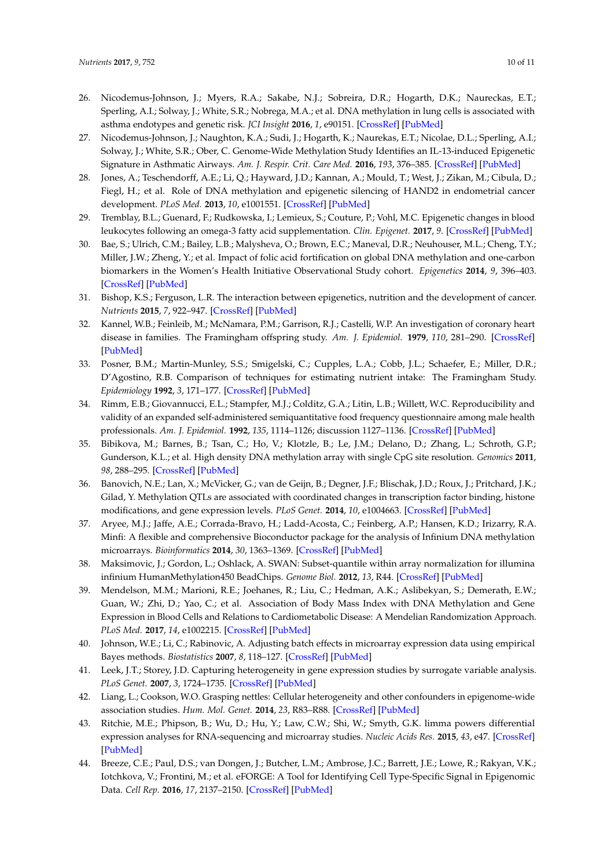- <span id="page-9-0"></span>26. Nicodemus-Johnson, J.; Myers, R.A.; Sakabe, N.J.; Sobreira, D.R.; Hogarth, D.K.; Naureckas, E.T.; Sperling, A.I.; Solway, J.; White, S.R.; Nobrega, M.A.; et al. DNA methylation in lung cells is associated with asthma endotypes and genetic risk. *JCI Insight* **2016**, *1*, e90151. [\[CrossRef\]](http://dx.doi.org/10.1172/jci.insight.90151) [\[PubMed\]](http://www.ncbi.nlm.nih.gov/pubmed/27942592)
- <span id="page-9-18"></span>27. Nicodemus-Johnson, J.; Naughton, K.A.; Sudi, J.; Hogarth, K.; Naurekas, E.T.; Nicolae, D.L.; Sperling, A.I.; Solway, J.; White, S.R.; Ober, C. Genome-Wide Methylation Study Identifies an IL-13-induced Epigenetic Signature in Asthmatic Airways. *Am. J. Respir. Crit. Care Med.* **2016**, *193*, 376–385. [\[CrossRef\]](http://dx.doi.org/10.1164/rccm.201506-1243OC) [\[PubMed\]](http://www.ncbi.nlm.nih.gov/pubmed/26474238)
- <span id="page-9-1"></span>28. Jones, A.; Teschendorff, A.E.; Li, Q.; Hayward, J.D.; Kannan, A.; Mould, T.; West, J.; Zikan, M.; Cibula, D.; Fiegl, H.; et al. Role of DNA methylation and epigenetic silencing of HAND2 in endometrial cancer development. *PLoS Med.* **2013**, *10*, e1001551. [\[CrossRef\]](http://dx.doi.org/10.1371/journal.pmed.1001551) [\[PubMed\]](http://www.ncbi.nlm.nih.gov/pubmed/24265601)
- <span id="page-9-2"></span>29. Tremblay, B.L.; Guenard, F.; Rudkowska, I.; Lemieux, S.; Couture, P.; Vohl, M.C. Epigenetic changes in blood leukocytes following an omega-3 fatty acid supplementation. *Clin. Epigenet.* **2017**, *9*. [\[CrossRef\]](http://dx.doi.org/10.1186/s13148-017-0345-3) [\[PubMed\]](http://www.ncbi.nlm.nih.gov/pubmed/28450971)
- <span id="page-9-3"></span>30. Bae, S.; Ulrich, C.M.; Bailey, L.B.; Malysheva, O.; Brown, E.C.; Maneval, D.R.; Neuhouser, M.L.; Cheng, T.Y.; Miller, J.W.; Zheng, Y.; et al. Impact of folic acid fortification on global DNA methylation and one-carbon biomarkers in the Women's Health Initiative Observational Study cohort. *Epigenetics* **2014**, *9*, 396–403. [\[CrossRef\]](http://dx.doi.org/10.4161/epi.27323) [\[PubMed\]](http://www.ncbi.nlm.nih.gov/pubmed/24300587)
- <span id="page-9-4"></span>31. Bishop, K.S.; Ferguson, L.R. The interaction between epigenetics, nutrition and the development of cancer. *Nutrients* **2015**, *7*, 922–947. [\[CrossRef\]](http://dx.doi.org/10.3390/nu7020922) [\[PubMed\]](http://www.ncbi.nlm.nih.gov/pubmed/25647662)
- <span id="page-9-5"></span>32. Kannel, W.B.; Feinleib, M.; McNamara, P.M.; Garrison, R.J.; Castelli, W.P. An investigation of coronary heart disease in families. The Framingham offspring study. *Am. J. Epidemiol.* **1979**, *110*, 281–290. [\[CrossRef\]](http://dx.doi.org/10.1093/oxfordjournals.aje.a112813) [\[PubMed\]](http://www.ncbi.nlm.nih.gov/pubmed/474565)
- <span id="page-9-6"></span>33. Posner, B.M.; Martin-Munley, S.S.; Smigelski, C.; Cupples, L.A.; Cobb, J.L.; Schaefer, E.; Miller, D.R.; D'Agostino, R.B. Comparison of techniques for estimating nutrient intake: The Framingham Study. *Epidemiology* **1992**, *3*, 171–177. [\[CrossRef\]](http://dx.doi.org/10.1097/00001648-199203000-00016) [\[PubMed\]](http://www.ncbi.nlm.nih.gov/pubmed/1576223)
- <span id="page-9-7"></span>34. Rimm, E.B.; Giovannucci, E.L.; Stampfer, M.J.; Colditz, G.A.; Litin, L.B.; Willett, W.C. Reproducibility and validity of an expanded self-administered semiquantitative food frequency questionnaire among male health professionals. *Am. J. Epidemiol.* **1992**, *135*, 1114–1126; discussion 1127–1136. [\[CrossRef\]](http://dx.doi.org/10.1093/oxfordjournals.aje.a116211) [\[PubMed\]](http://www.ncbi.nlm.nih.gov/pubmed/1632423)
- <span id="page-9-8"></span>35. Bibikova, M.; Barnes, B.; Tsan, C.; Ho, V.; Klotzle, B.; Le, J.M.; Delano, D.; Zhang, L.; Schroth, G.P.; Gunderson, K.L.; et al. High density DNA methylation array with single CpG site resolution. *Genomics* **2011**, *98*, 288–295. [\[CrossRef\]](http://dx.doi.org/10.1016/j.ygeno.2011.07.007) [\[PubMed\]](http://www.ncbi.nlm.nih.gov/pubmed/21839163)
- <span id="page-9-9"></span>36. Banovich, N.E.; Lan, X.; McVicker, G.; van de Geijn, B.; Degner, J.F.; Blischak, J.D.; Roux, J.; Pritchard, J.K.; Gilad, Y. Methylation QTLs are associated with coordinated changes in transcription factor binding, histone modifications, and gene expression levels. *PLoS Genet.* **2014**, *10*, e1004663. [\[CrossRef\]](http://dx.doi.org/10.1371/journal.pgen.1004663) [\[PubMed\]](http://www.ncbi.nlm.nih.gov/pubmed/25233095)
- <span id="page-9-10"></span>37. Aryee, M.J.; Jaffe, A.E.; Corrada-Bravo, H.; Ladd-Acosta, C.; Feinberg, A.P.; Hansen, K.D.; Irizarry, R.A. Minfi: A flexible and comprehensive Bioconductor package for the analysis of Infinium DNA methylation microarrays. *Bioinformatics* **2014**, *30*, 1363–1369. [\[CrossRef\]](http://dx.doi.org/10.1093/bioinformatics/btu049) [\[PubMed\]](http://www.ncbi.nlm.nih.gov/pubmed/24478339)
- <span id="page-9-11"></span>38. Maksimovic, J.; Gordon, L.; Oshlack, A. SWAN: Subset-quantile within array normalization for illumina infinium HumanMethylation450 BeadChips. *Genome Biol.* **2012**, *13*, R44. [\[CrossRef\]](http://dx.doi.org/10.1186/gb-2012-13-6-r44) [\[PubMed\]](http://www.ncbi.nlm.nih.gov/pubmed/22703947)
- <span id="page-9-12"></span>39. Mendelson, M.M.; Marioni, R.E.; Joehanes, R.; Liu, C.; Hedman, A.K.; Aslibekyan, S.; Demerath, E.W.; Guan, W.; Zhi, D.; Yao, C.; et al. Association of Body Mass Index with DNA Methylation and Gene Expression in Blood Cells and Relations to Cardiometabolic Disease: A Mendelian Randomization Approach. *PLoS Med.* **2017**, *14*, e1002215. [\[CrossRef\]](http://dx.doi.org/10.1371/journal.pmed.1002215) [\[PubMed\]](http://www.ncbi.nlm.nih.gov/pubmed/28095459)
- <span id="page-9-13"></span>40. Johnson, W.E.; Li, C.; Rabinovic, A. Adjusting batch effects in microarray expression data using empirical Bayes methods. *Biostatistics* **2007**, *8*, 118–127. [\[CrossRef\]](http://dx.doi.org/10.1093/biostatistics/kxj037) [\[PubMed\]](http://www.ncbi.nlm.nih.gov/pubmed/16632515)
- <span id="page-9-14"></span>41. Leek, J.T.; Storey, J.D. Capturing heterogeneity in gene expression studies by surrogate variable analysis. *PLoS Genet.* **2007**, *3*, 1724–1735. [\[CrossRef\]](http://dx.doi.org/10.1371/journal.pgen.0030161) [\[PubMed\]](http://www.ncbi.nlm.nih.gov/pubmed/17907809)
- <span id="page-9-15"></span>42. Liang, L.; Cookson, W.O. Grasping nettles: Cellular heterogeneity and other confounders in epigenome-wide association studies. *Hum. Mol. Genet.* **2014**, *23*, R83–R88. [\[CrossRef\]](http://dx.doi.org/10.1093/hmg/ddu284) [\[PubMed\]](http://www.ncbi.nlm.nih.gov/pubmed/24927738)
- <span id="page-9-16"></span>43. Ritchie, M.E.; Phipson, B.; Wu, D.; Hu, Y.; Law, C.W.; Shi, W.; Smyth, G.K. limma powers differential expression analyses for RNA-sequencing and microarray studies. *Nucleic Acids Res.* **2015**, *43*, e47. [\[CrossRef\]](http://dx.doi.org/10.1093/nar/gkv007) [\[PubMed\]](http://www.ncbi.nlm.nih.gov/pubmed/25605792)
- <span id="page-9-17"></span>44. Breeze, C.E.; Paul, D.S.; van Dongen, J.; Butcher, L.M.; Ambrose, J.C.; Barrett, J.E.; Lowe, R.; Rakyan, V.K.; Iotchkova, V.; Frontini, M.; et al. eFORGE: A Tool for Identifying Cell Type-Specific Signal in Epigenomic Data. *Cell Rep.* **2016**, *17*, 2137–2150. [\[CrossRef\]](http://dx.doi.org/10.1016/j.celrep.2016.10.059) [\[PubMed\]](http://www.ncbi.nlm.nih.gov/pubmed/27851974)